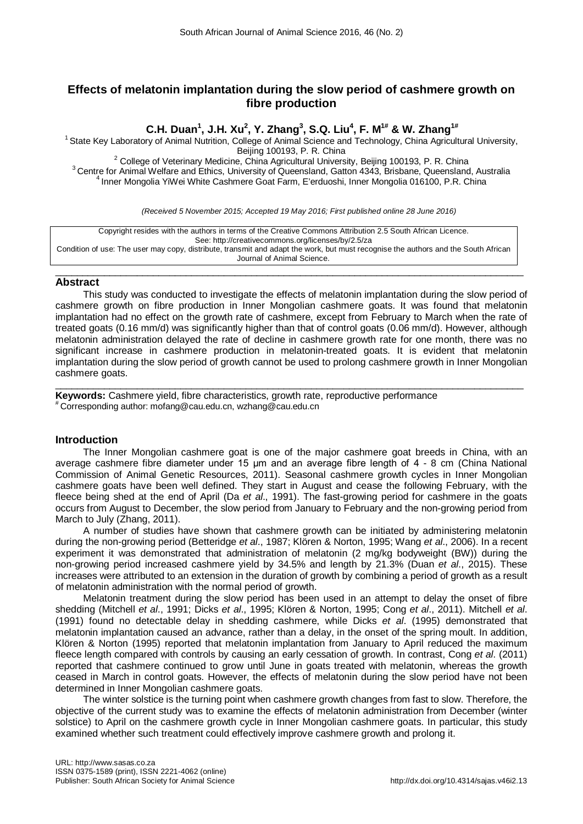# **Effects of melatonin implantation during the slow period of cashmere growth on fibre production**

# **C.H. Duan<sup>1</sup>, J.H. Xu<sup>2</sup>, Y. Zhang<sup>3</sup>, S.Q. Liu<sup>4</sup>, F. M<sup>1#</sup> & W. Zhang<sup>1#</sup>**

<sup>1</sup> State Key Laboratory of Animal Nutrition, College of Animal Science and Technology, China Agricultural University,<br>Beijing 100193. P. R. China

<sup>2</sup> College of Veterinary Medicine, China Agricultural University, Beijing 100193, P. R. China<br><sup>3</sup> Centre for Animal Welfare and Ethics, University of Queensland, Gatton 4343, Brisbane, Queensland, Australia<br><sup>4</sup> Inner Mong

*(Received 5 November 2015; Accepted 19 May 2016; First published online 28 June 2016)*

Copyright resides with the authors in terms of the Creative Commons Attribution 2.5 South African Licence. See: http://creativecommons.org/licenses/by/2.5/za Condition of use: The user may copy, distribute, transmit and adapt the work, but must recognise the authors and the South African Journal of Animal Science.

#### $\_$  , and the set of the set of the set of the set of the set of the set of the set of the set of the set of the set of the set of the set of the set of the set of the set of the set of the set of the set of the set of th **Abstract**

This study was conducted to investigate the effects of melatonin implantation during the slow period of cashmere growth on fibre production in Inner Mongolian cashmere goats. It was found that melatonin implantation had no effect on the growth rate of cashmere, except from February to March when the rate of treated goats (0.16 mm/d) was significantly higher than that of control goats (0.06 mm/d). However, although melatonin administration delayed the rate of decline in cashmere growth rate for one month, there was no significant increase in cashmere production in melatonin-treated goats. It is evident that melatonin implantation during the slow period of growth cannot be used to prolong cashmere growth in Inner Mongolian cashmere goats.

 $\_$  , and the set of the set of the set of the set of the set of the set of the set of the set of the set of the set of the set of the set of the set of the set of the set of the set of the set of the set of the set of th **Keywords:** Cashmere yield, fibre characteristics, growth rate, reproductive performance<br><sup>#</sup> Corresponding author: [mofang@cau.edu.cn,](mailto:mofang@cau.edu.cn,) [wzhang@cau.edu.cn](mailto:wzhang@cau.edu.cn)

# **Introduction**

The Inner Mongolian cashmere goat is one of the major cashmere goat breeds in China, with an average cashmere fibre diameter under 15 μm and an average fibre length of 4 - 8 cm (China National Commission of Animal Genetic Resources, 2011). Seasonal cashmere growth cycles in Inner Mongolian cashmere goats have been well defined. They start in August and cease the following February, with the fleece being shed at the end of April (Da *et al*., 1991). The fast-growing period for cashmere in the goats occurs from August to December, the slow period from January to February and the non-growing period from March to July (Zhang, 2011).

A number of studies have shown that cashmere growth can be initiated by administering melatonin during the non-growing period (Betteridge *et al*., 1987; Klören & Norton, 1995; Wang *et al*., 2006). In a recent experiment it was demonstrated that administration of melatonin (2 mg/kg bodyweight (BW)) during the non-growing period increased cashmere yield by 34.5% and length by 21.3% (Duan *et al*., 2015). These increases were attributed to an extension in the duration of growth by combining a period of growth as a result of melatonin administration with the normal period of growth.

Melatonin treatment during the slow period has been used in an attempt to delay the onset of fibre shedding (Mitchell *et al*., 1991; Dicks *et al*., 1995; Klören & Norton, 1995; Cong *et al*., 2011). Mitchell *et al*. (1991) found no detectable delay in shedding cashmere, while Dicks *et al*. (1995) demonstrated that melatonin implantation caused an advance, rather than a delay, in the onset of the spring moult. In addition, Klören & Norton (1995) reported that melatonin implantation from January to April reduced the maximum fleece length compared with controls by causing an early cessation of growth. In contrast, Cong *et al*. (2011) reported that cashmere continued to grow until June in goats treated with melatonin, whereas the growth ceased in March in control goats. However, the effects of melatonin during the slow period have not been determined in Inner Mongolian cashmere goats.

The winter solstice is the turning point when cashmere growth changes from fast to slow. Therefore, the objective of the current study was to examine the effects of melatonin administration from December (winter solstice) to April on the cashmere growth cycle in Inner Mongolian cashmere goats. In particular, this study examined whether such treatment could effectively improve cashmere growth and prolong it.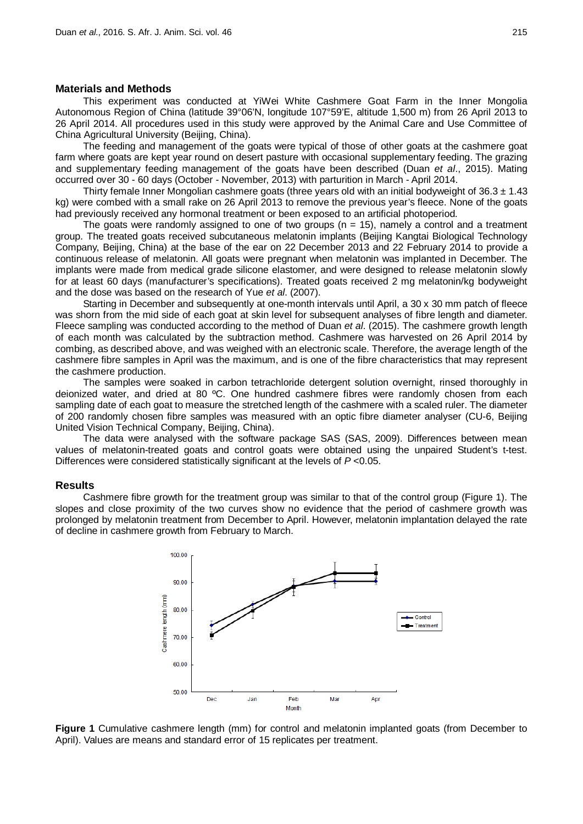## **Materials and Methods**

This experiment was conducted at YiWei White Cashmere Goat Farm in the Inner Mongolia Autonomous Region of China (latitude 39°06'N, longitude 107°59'E, altitude 1,500 m) from 26 April 2013 to 26 April 2014. All procedures used in this study were approved by the Animal Care and Use Committee of China Agricultural University (Beijing, China).

The feeding and management of the goats were typical of those of other goats at the cashmere goat farm where goats are kept year round on desert pasture with occasional supplementary feeding. The grazing and supplementary feeding management of the goats have been described (Duan *et al*., 2015). Mating occurred over 30 - 60 days (October - November, 2013) with parturition in March - April 2014.

Thirty female Inner Mongolian cashmere goats (three years old with an initial bodyweight of  $36.3 \pm 1.43$ kg) were combed with a small rake on 26 April 2013 to remove the previous year's fleece. None of the goats had previously received any hormonal treatment or been exposed to an artificial photoperiod.

The goats were randomly assigned to one of two groups ( $n = 15$ ), namely a control and a treatment group. The treated goats received subcutaneous melatonin implants (Beijing Kangtai Biological Technology Company, Beijing, China) at the base of the ear on 22 December 2013 and 22 February 2014 to provide a continuous release of melatonin. All goats were pregnant when melatonin was implanted in December. The implants were made from medical grade silicone elastomer, and were designed to release melatonin slowly for at least 60 days (manufacturer's specifications). Treated goats received 2 mg melatonin/kg bodyweight and the dose was based on the research of Yue *et al*. (2007).

Starting in December and subsequently at one-month intervals until April, a 30 x 30 mm patch of fleece was shorn from the mid side of each goat at skin level for subsequent analyses of fibre length and diameter. Fleece sampling was conducted according to the method of Duan *et al*. (2015). The cashmere growth length of each month was calculated by the subtraction method. Cashmere was harvested on 26 April 2014 by combing, as described above, and was weighed with an electronic scale. Therefore, the average length of the cashmere fibre samples in April was the maximum, and is one of the fibre characteristics that may represent the cashmere production.

The samples were soaked in carbon tetrachloride detergent solution overnight, rinsed thoroughly in deionized water, and dried at 80 ºC. One hundred cashmere fibres were randomly chosen from each sampling date of each goat to measure the stretched length of the cashmere with a scaled ruler. The diameter of 200 randomly chosen fibre samples was measured with an optic fibre diameter analyser (CU-6, Beijing United Vision Technical Company, Beijing, China).

The data were analysed with the software package SAS (SAS, 2009). Differences between mean values of melatonin-treated goats and control goats were obtained using the unpaired Student's t-test. Differences were considered statistically significant at the levels of *P* <0.05.

# **Results**

Cashmere fibre growth for the treatment group was similar to that of the control group (Figure 1). The slopes and close proximity of the two curves show no evidence that the period of cashmere growth was prolonged by melatonin treatment from December to April. However, melatonin implantation delayed the rate of decline in cashmere growth from February to March.



**Figure 1** Cumulative cashmere length (mm) for control and melatonin implanted goats (from December to April). Values are means and standard error of 15 replicates per treatment.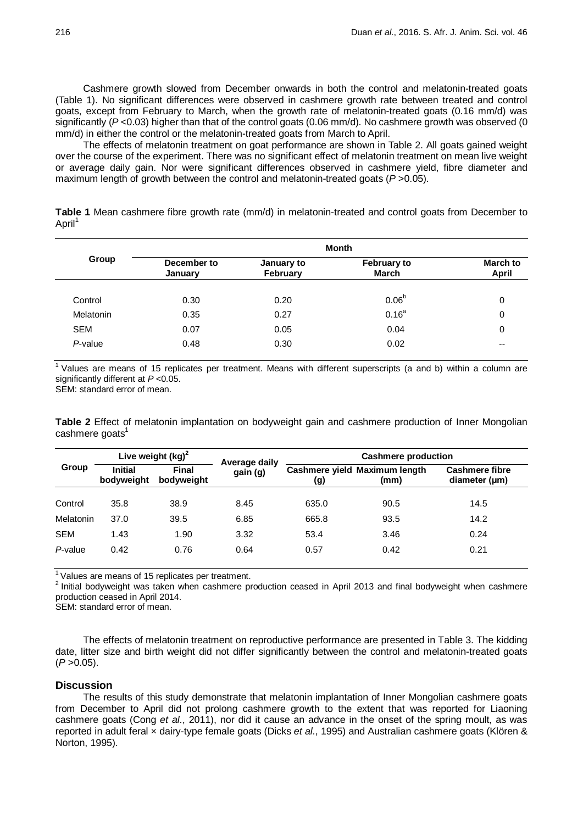Cashmere growth slowed from December onwards in both the control and melatonin-treated goats (Table 1). No significant differences were observed in cashmere growth rate between treated and control goats, except from February to March, when the growth rate of melatonin-treated goats (0.16 mm/d) was significantly (P<0.03) higher than that of the control goats (0.06 mm/d). No cashmere growth was observed (0 mm/d) in either the control or the melatonin-treated goats from March to April.

The effects of melatonin treatment on goat performance are shown in Table 2. All goats gained weight over the course of the experiment. There was no significant effect of melatonin treatment on mean live weight or average daily gain. Nor were significant differences observed in cashmere yield, fibre diameter and maximum length of growth between the control and melatonin-treated goats (*P* >0.05).

**Table 1** Mean cashmere fibre growth rate (mm/d) in melatonin-treated and control goats from December to April<sup>1</sup>

|            | Month                  |                        |                                    |                          |  |  |
|------------|------------------------|------------------------|------------------------------------|--------------------------|--|--|
| Group      | December to<br>January | January to<br>February | <b>February to</b><br><b>March</b> | March to<br><b>April</b> |  |  |
| Control    | 0.30                   | 0.20                   | 0.06 <sup>b</sup>                  | 0                        |  |  |
| Melatonin  | 0.35                   | 0.27                   | $0.16^{a}$                         | 0                        |  |  |
| <b>SEM</b> | 0.07                   | 0.05                   | 0.04                               | 0                        |  |  |
| P-value    | 0.48                   | 0.30                   | 0.02                               | --                       |  |  |

 $1$  Values are means of 15 replicates per treatment. Means with different superscripts (a and b) within a column are significantly different at *P* <0.05.

SEM: standard error of mean.

**Table 2** Effect of melatonin implantation on bodyweight gain and cashmere production of Inner Mongolian cashmere goats<sup>1</sup>

| Group      | Live weight $(kg)^2$         |                            | Average daily | <b>Cashmere production</b> |                                       |                                             |
|------------|------------------------------|----------------------------|---------------|----------------------------|---------------------------------------|---------------------------------------------|
|            | <b>Initial</b><br>bodyweight | <b>Final</b><br>bodyweight | gain (g)      | (g)                        | Cashmere yield Maximum length<br>(mm) | <b>Cashmere fibre</b><br>diameter $(\mu m)$ |
|            |                              |                            |               |                            |                                       |                                             |
| Control    | 35.8                         | 38.9                       | 8.45          | 635.0                      | 90.5                                  | 14.5                                        |
| Melatonin  | 37.0                         | 39.5                       | 6.85          | 665.8                      | 93.5                                  | 14.2                                        |
| <b>SEM</b> | 1.43                         | 1.90                       | 3.32          | 53.4                       | 3.46                                  | 0.24                                        |
| P-value    | 0.42                         | 0.76                       | 0.64          | 0.57                       | 0.42                                  | 0.21                                        |

<sup>1</sup> Values are means of 15 replicates per treatment.<br><sup>2</sup> Initial bodyweight was taken when cashmere production ceased in April 2013 and final bodyweight when cashmere production ceased in April 2014.

SEM: standard error of mean.

The effects of melatonin treatment on reproductive performance are presented in Table 3. The kidding date, litter size and birth weight did not differ significantly between the control and melatonin-treated goats  $(P > 0.05)$ .

## **Discussion**

The results of this study demonstrate that melatonin implantation of Inner Mongolian cashmere goats from December to April did not prolong cashmere growth to the extent that was reported for Liaoning cashmere goats (Cong *et al*., 2011), nor did it cause an advance in the onset of the spring moult, as was reported in adult feral × dairy-type female goats (Dicks *et al*., 1995) and Australian cashmere goats (Klören & Norton, 1995).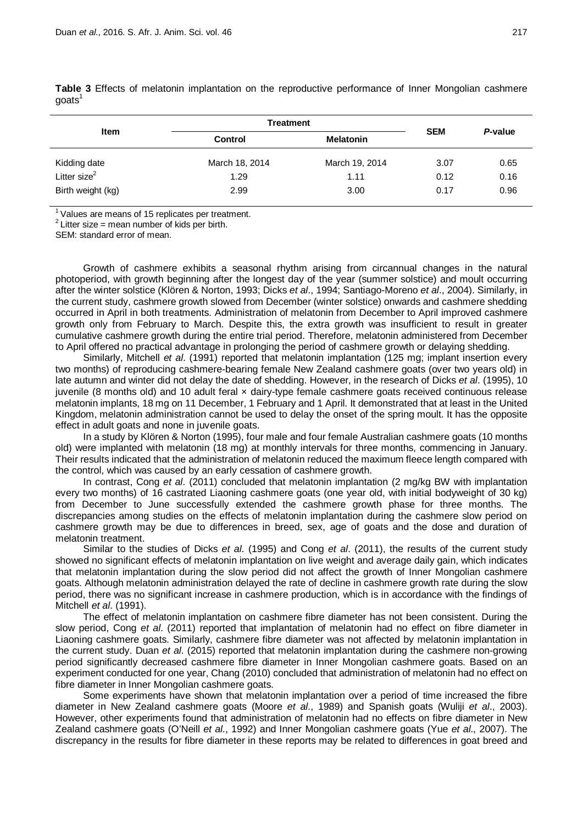| Item              | <b>Treatment</b>                   | <b>SEM</b>     | P-value |      |
|-------------------|------------------------------------|----------------|---------|------|
|                   | <b>Melatonin</b><br><b>Control</b> |                |         |      |
| Kidding date      | March 18, 2014                     | March 19, 2014 | 3.07    | 0.65 |
| Litter size $^2$  | 1.29                               | 1.11           | 0.12    | 0.16 |
| Birth weight (kg) | 2.99                               | 3.00           | 0.17    | 0.96 |

**Table 3** Effects of melatonin implantation on the reproductive performance of Inner Mongolian cashmere goats<sup>1</sup>

<sup>1</sup> Values are means of 15 replicates per treatment.<br><sup>2</sup> Litter size = mean number of kids per birth.

SEM: standard error of mean.

Growth of cashmere exhibits a seasonal rhythm arising from circannual changes in the natural photoperiod, with growth beginning after the longest day of the year (summer solstice) and moult occurring after the winter solstice (Klören & Norton, 1993; Dicks *et al*., 1994; Santiago-Moreno *et al*., 2004). Similarly, in the current study, cashmere growth slowed from December (winter solstice) onwards and cashmere shedding occurred in April in both treatments. Administration of melatonin from December to April improved cashmere growth only from February to March. Despite this, the extra growth was insufficient to result in greater cumulative cashmere growth during the entire trial period. Therefore, melatonin administered from December to April offered no practical advantage in prolonging the period of cashmere growth or delaying shedding.

Similarly, Mitchell *et al*. (1991) reported that melatonin implantation (125 mg; implant insertion every two months) of reproducing cashmere-bearing female New Zealand cashmere goats (over two years old) in late autumn and winter did not delay the date of shedding. However, in the research of Dicks *et al*. (1995), 10 juvenile (8 months old) and 10 adult feral x dairy-type female cashmere goats received continuous release melatonin implants, 18 mg on 11 December, 1 February and 1 April. It demonstrated that at least in the United Kingdom, melatonin administration cannot be used to delay the onset of the spring moult. It has the opposite effect in adult goats and none in juvenile goats.

In a study by Klören & Norton (1995), four male and four female Australian cashmere goats (10 months old) were implanted with melatonin (18 mg) at monthly intervals for three months, commencing in January. Their results indicated that the administration of melatonin reduced the maximum fleece length compared with the control, which was caused by an early cessation of cashmere growth.

In contrast, Cong *et al*. (2011) concluded that melatonin implantation (2 mg/kg BW with implantation every two months) of 16 castrated Liaoning cashmere goats (one year old, with initial bodyweight of 30 kg) from December to June successfully extended the cashmere growth phase for three months. The discrepancies among studies on the effects of melatonin implantation during the cashmere slow period on cashmere growth may be due to differences in breed, sex, age of goats and the dose and duration of melatonin treatment.

Similar to the studies of Dicks *et al*. (1995) and Cong *et al*. (2011), the results of the current study showed no significant effects of melatonin implantation on live weight and average daily gain, which indicates that melatonin implantation during the slow period did not affect the growth of Inner Mongolian cashmere goats. Although melatonin administration delayed the rate of decline in cashmere growth rate during the slow period, there was no significant increase in cashmere production, which is in accordance with the findings of Mitchell *et al*. (1991).

The effect of melatonin implantation on cashmere fibre diameter has not been consistent. During the slow period, Cong *et al*. (2011) reported that implantation of melatonin had no effect on fibre diameter in Liaoning cashmere goats. Similarly, cashmere fibre diameter was not affected by melatonin implantation in the current study. Duan *et al*. (2015) reported that melatonin implantation during the cashmere non-growing period significantly decreased cashmere fibre diameter in Inner Mongolian cashmere goats. Based on an experiment conducted for one year, Chang (2010) concluded that administration of melatonin had no effect on fibre diameter in Inner Mongolian cashmere goats.

Some experiments have shown that melatonin implantation over a period of time increased the fibre diameter in New Zealand cashmere goats (Moore *et al*., 1989) and Spanish goats (Wuliji *et al*., 2003). However, other experiments found that administration of melatonin had no effects on fibre diameter in New Zealand cashmere goats (O'Neill *et al*., 1992) and Inner Mongolian cashmere goats (Yue *et al*., 2007). The discrepancy in the results for fibre diameter in these reports may be related to differences in goat breed and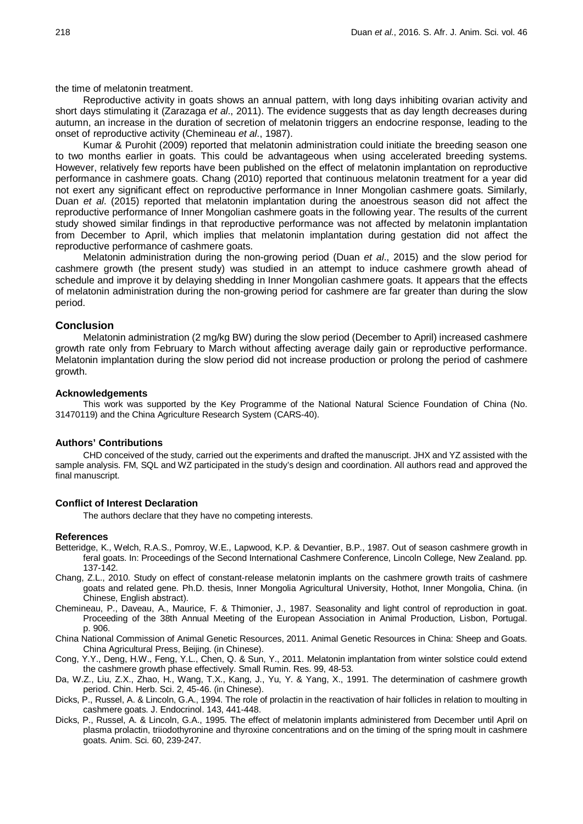the time of melatonin treatment.

Reproductive activity in goats shows an annual pattern, with long days inhibiting ovarian activity and short days stimulating it (Zarazaga *et al*., 2011). The evidence suggests that as day length decreases during autumn, an increase in the duration of secretion of melatonin triggers an endocrine response, leading to the onset of reproductive activity (Chemineau *et al*., 1987).

Kumar & Purohit (2009) reported that melatonin administration could initiate the breeding season one to two months earlier in goats. This could be advantageous when using accelerated breeding systems. However, relatively few reports have been published on the effect of melatonin implantation on reproductive performance in cashmere goats. Chang (2010) reported that continuous melatonin treatment for a year did not exert any significant effect on reproductive performance in Inner Mongolian cashmere goats. Similarly, Duan *et al*. (2015) reported that melatonin implantation during the anoestrous season did not affect the reproductive performance of Inner Mongolian cashmere goats in the following year. The results of the current study showed similar findings in that reproductive performance was not affected by melatonin implantation from December to April, which implies that melatonin implantation during gestation did not affect the reproductive performance of cashmere goats.

Melatonin administration during the non-growing period (Duan *et al*., 2015) and the slow period for cashmere growth (the present study) was studied in an attempt to induce cashmere growth ahead of schedule and improve it by delaying shedding in Inner Mongolian cashmere goats. It appears that the effects of melatonin administration during the non-growing period for cashmere are far greater than during the slow period.

### **Conclusion**

Melatonin administration (2 mg/kg BW) during the slow period (December to April) increased cashmere growth rate only from February to March without affecting average daily gain or reproductive performance. Melatonin implantation during the slow period did not increase production or prolong the period of cashmere growth.

#### **Acknowledgements**

This work was supported by the Key Programme of the National Natural Science Foundation of China (No. 31470119) and the China Agriculture Research System (CARS-40).

## **Authors' Contributions**

CHD conceived of the study, carried out the experiments and drafted the manuscript. JHX and YZ assisted with the sample analysis. FM, SQL and WZ participated in the study's design and coordination. All authors read and approved the final manuscript.

### **Conflict of Interest Declaration**

The authors declare that they have no competing interests.

#### **References**

- Betteridge, K., Welch, R.A.S., Pomroy, W.E., Lapwood, K.P. & Devantier, B.P., 1987. Out of season cashmere growth in feral goats. In: Proceedings of the Second International Cashmere Conference, Lincoln College, New Zealand. pp. 137-142.
- Chang, Z.L., 2010. Study on effect of constant-release melatonin implants on the cashmere growth traits of cashmere goats and related gene. Ph.D. thesis, Inner Mongolia Agricultural University, Hothot, Inner Mongolia, China. (in Chinese, English abstract).
- Chemineau, P., Daveau, A., Maurice, F. & Thimonier, J., 1987. Seasonality and light control of reproduction in goat. Proceeding of the 38th Annual Meeting of the European Association in Animal Production, Lisbon, Portugal. p. 906.
- China National Commission of Animal Genetic Resources, 2011. Animal Genetic Resources in China: Sheep and Goats. China Agricultural Press, Beijing. (in Chinese).
- Cong, Y.Y., Deng, H.W., Feng, Y.L., Chen, Q. & Sun, Y., 2011. Melatonin implantation from winter solstice could extend the cashmere growth phase effectively. Small Rumin. Res. 99, 48-53.
- Da, W.Z., Liu, Z.X., Zhao, H., Wang, T.X., Kang, J., Yu, Y. & Yang, X., 1991. The determination of cashmere growth period. Chin. Herb. Sci. 2, 45-46. (in Chinese).
- Dicks, P., Russel, A. & Lincoln, G.A., 1994. The role of prolactin in the reactivation of hair follicles in relation to moulting in cashmere goats. J. Endocrinol. 143, 441-448.
- Dicks, P., Russel, A. & Lincoln, G.A., 1995. The effect of melatonin implants administered from December until April on plasma prolactin, triiodothyronine and thyroxine concentrations and on the timing of the spring moult in cashmere goats. Anim. Sci. 60, 239-247.